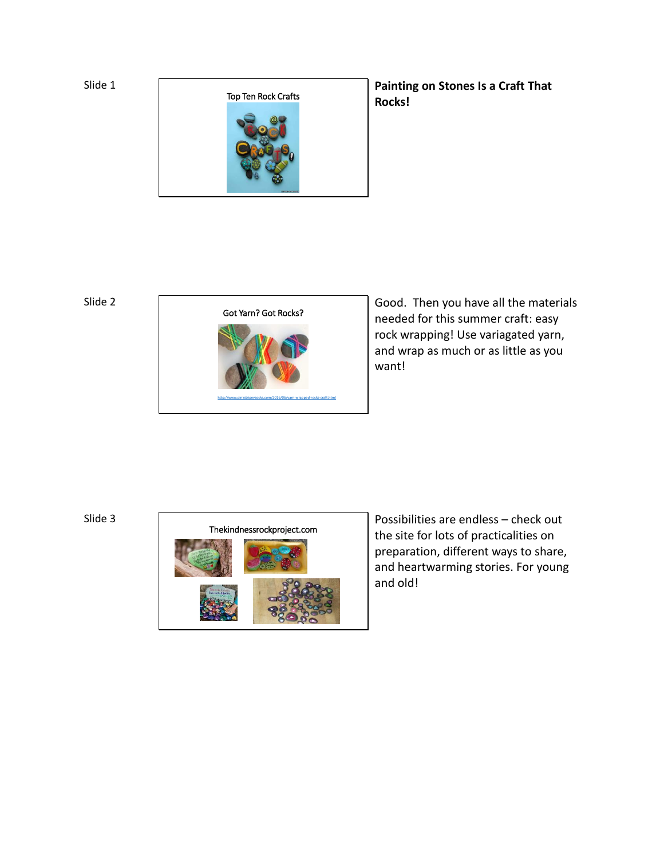Slide 1



**Painting on Stones Is a Craft That Rocks!**

Slide 2



Good. Then you have all the materials needed for this summer craft: easy rock wrapping! Use variagated yarn, and wrap as much or as little as you want!

Slide 3



Possibilities are endless – check out the site for lots of practicalities on preparation, different ways to share, and heartwarming stories. For young and old!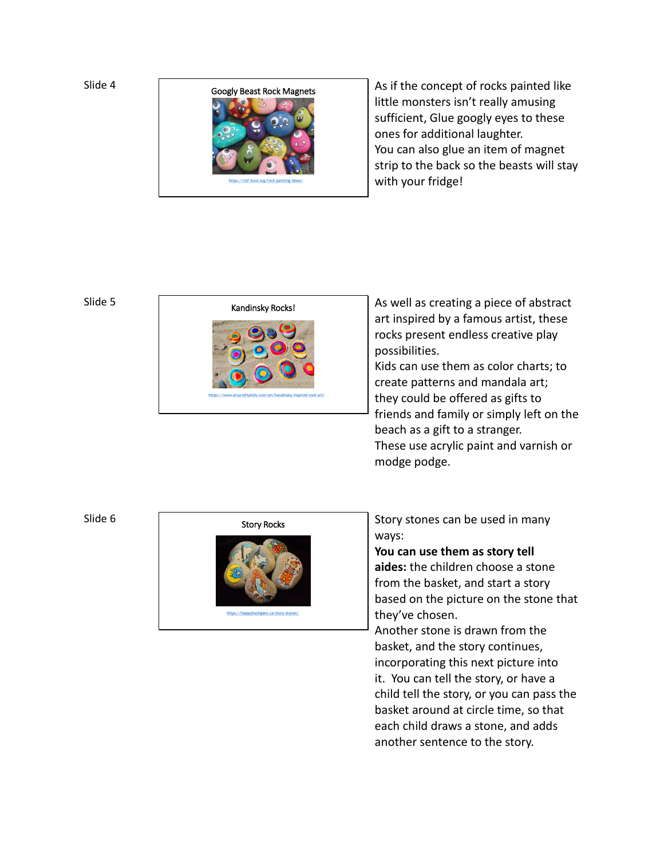Slide 4



As if the concept of rocks painted like little monsters isn't really amusing sufficient, Glue googly eyes to these ones for additional laughter. You can also glue an item of magnet strip to the back so the beasts will stay with your fridge!

## Slide 5



As well as creating a piece of abstract art inspired by a famous artist, these rocks present endless creative play possibilities.

Kids can use them as color charts; to create patterns and mandala art; they could be offered as gifts to friends and family or simply left on the beach as a gift to a stranger. These use acrylic paint and varnish or modge podge.

## Slide 6



Story stones can be used in many ways:

**You can use them as story tell aides:** the children choose a stone from the basket, and start a story based on the picture on the stone that they've chosen.

Another stone is drawn from the basket, and the story continues, incorporating this next picture into it. You can tell the story, or have a child tell the story, or you can pass the basket around at circle time, so that each child draws a stone, and adds another sentence to the story.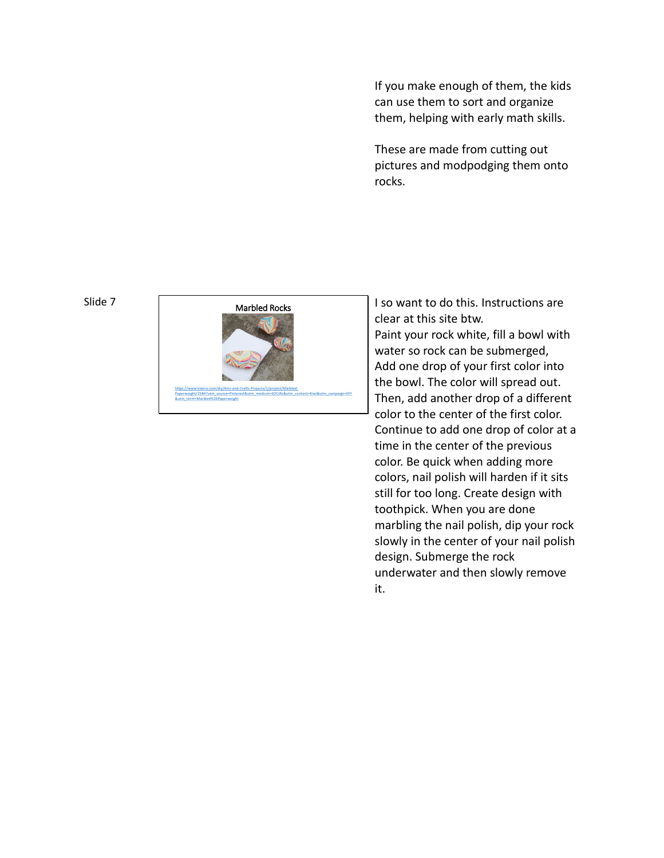If you make enough of them, the kids can use them to sort and organize them, helping with early math skills.

These are made from cutting out pictures and modpodging them onto rocks.

## Slide 7



I so want to do this. Instructions are clear at this site btw. Paint your rock white, fill a bowl with water so rock can be submerged, Add one drop of your first color into the bowl. The color will spread out. Then, add another drop of a different color to the center of the first color. Continue to add one drop of color at a time in the center of the previous color. Be quick when adding more colors, nail polish will harden if it sits still for too long. Create design with toothpick. When you are done marbling the nail polish, dip your rock slowly in the center of your nail polish design. Submerge the rock underwater and then slowly remove it.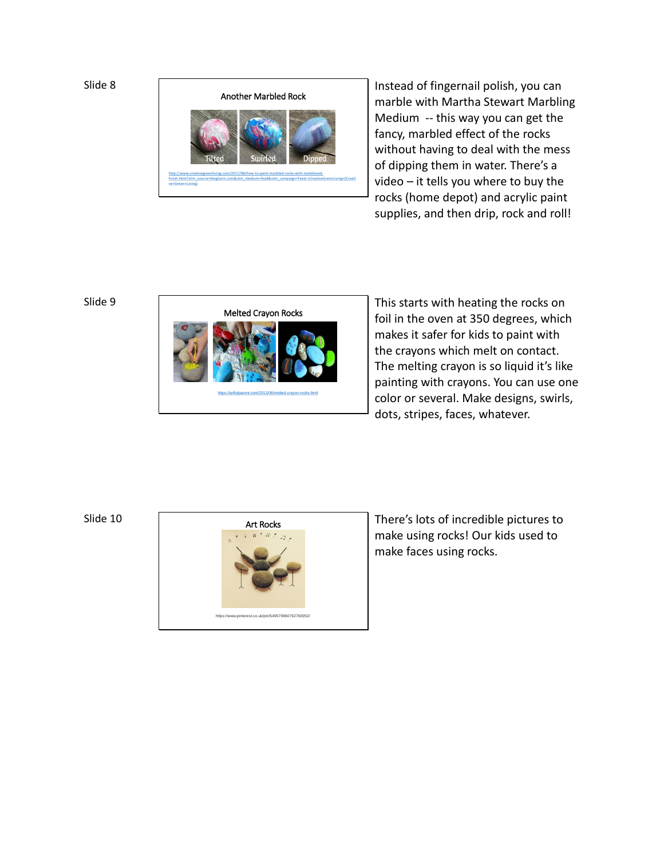```
Slide 8
```


Instead of fingernail polish, you can marble with Martha Stewart Marbling Medium -- this way you can get the fancy, marbled effect of the rocks without having to deal with the mess of dipping them in water. There's a video – it tells you where to buy the rocks (home depot) and acrylic paint supplies, and then drip, rock and roll!

## Slide 9



This starts with heating the rocks on foil in the oven at 350 degrees, which makes it safer for kids to paint with the crayons which melt on contact. The melting crayon is so liquid it's like painting with crayons. You can use one color or several. Make designs, swirls, dots, stripes, faces, whatever.

Slide 10



There's lots of incredible pictures to make using rocks! Our kids used to make faces using rocks.